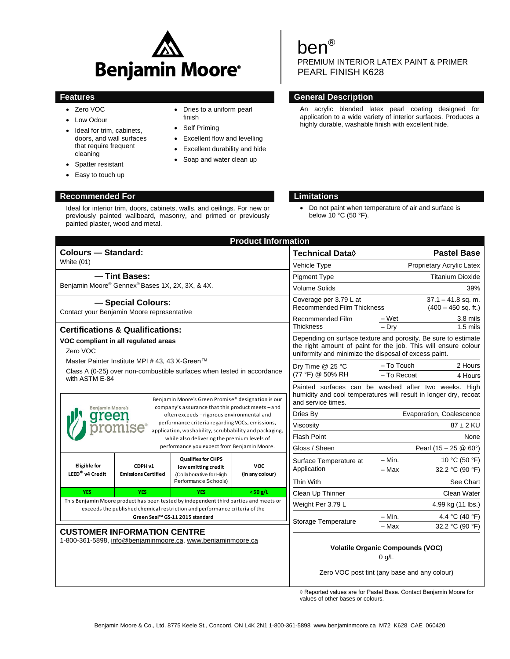

- Zero VOC
- Low Odour
- Ideal for trim, cabinets, doors, and wall surfaces that require frequent cleaning
- Spatter resistant
- Easy to touch up

# **Recommended For Limitations**

Ideal for interior trim, doors, cabinets, walls, and ceilings. For new or previously painted wallboard, masonry, and primed or previously painted plaster, wood and metal.

- Dries to a uniform pearl finish
- Self Priming
- Excellent flow and levelling
- Excellent durability and hide
- Soap and water clean up

# ben®

PREMIUM INTERIOR LATEX PAINT & PRIMER PEARL FINISH K628

# **Features General Description**

An acrylic blended latex pearl coating designed for application to a wide variety of interior surfaces. Produces a highly durable, washable finish with excellent hide.

 Do not paint when temperature of air and surface is below 10 °C (50 °F).

| <b>Product Information</b>                                                                                                                                                                                                                                                                                                                                                                          |                                                  |                                                                                                                                                                     |                                                                                                                                  |                                                                                                                                                |                                               |                 |  |  |
|-----------------------------------------------------------------------------------------------------------------------------------------------------------------------------------------------------------------------------------------------------------------------------------------------------------------------------------------------------------------------------------------------------|--------------------------------------------------|---------------------------------------------------------------------------------------------------------------------------------------------------------------------|----------------------------------------------------------------------------------------------------------------------------------|------------------------------------------------------------------------------------------------------------------------------------------------|-----------------------------------------------|-----------------|--|--|
| <b>Colours - Standard:</b>                                                                                                                                                                                                                                                                                                                                                                          |                                                  |                                                                                                                                                                     | Technical Data $\Diamond$                                                                                                        | <b>Pastel Base</b>                                                                                                                             |                                               |                 |  |  |
| White $(01)$                                                                                                                                                                                                                                                                                                                                                                                        |                                                  |                                                                                                                                                                     |                                                                                                                                  | Vehicle Type                                                                                                                                   | Proprietary Acrylic Latex                     |                 |  |  |
| -Tint Bases:                                                                                                                                                                                                                                                                                                                                                                                        |                                                  |                                                                                                                                                                     |                                                                                                                                  | <b>Pigment Type</b>                                                                                                                            | <b>Titanium Dioxide</b>                       |                 |  |  |
| Benjamin Moore® Gennex® Bases 1X, 2X, 3X, & 4X.                                                                                                                                                                                                                                                                                                                                                     |                                                  |                                                                                                                                                                     |                                                                                                                                  | <b>Volume Solids</b><br>39%                                                                                                                    |                                               |                 |  |  |
| - Special Colours:<br>Contact your Benjamin Moore representative                                                                                                                                                                                                                                                                                                                                    |                                                  |                                                                                                                                                                     |                                                                                                                                  | Coverage per 3.79 L at<br><b>Recommended Film Thickness</b>                                                                                    | $37.1 - 41.8$ sq. m.<br>$(400 - 450$ sq. ft.) |                 |  |  |
|                                                                                                                                                                                                                                                                                                                                                                                                     |                                                  |                                                                                                                                                                     | Recommended Film<br><b>Thickness</b>                                                                                             | $-Wet$                                                                                                                                         | 3.8 mils                                      |                 |  |  |
|                                                                                                                                                                                                                                                                                                                                                                                                     | <b>Certifications &amp; Qualifications:</b>      |                                                                                                                                                                     |                                                                                                                                  | $1.5$ mils<br>– Dry                                                                                                                            |                                               |                 |  |  |
| VOC compliant in all regulated areas                                                                                                                                                                                                                                                                                                                                                                |                                                  |                                                                                                                                                                     | Depending on surface texture and porosity. Be sure to estimate<br>the right amount of paint for the job. This will ensure colour |                                                                                                                                                |                                               |                 |  |  |
| Zero VOC                                                                                                                                                                                                                                                                                                                                                                                            |                                                  |                                                                                                                                                                     | uniformity and minimize the disposal of excess paint.                                                                            |                                                                                                                                                |                                               |                 |  |  |
|                                                                                                                                                                                                                                                                                                                                                                                                     | Master Painter Institute MPI # 43, 43 X-Green™   |                                                                                                                                                                     | Dry Time @ 25 °C<br>(77 °F) @ 50% RH                                                                                             | - To Touch                                                                                                                                     | 2 Hours                                       |                 |  |  |
| with ASTM E-84                                                                                                                                                                                                                                                                                                                                                                                      |                                                  | Class A (0-25) over non-combustible surfaces when tested in accordance                                                                                              |                                                                                                                                  | - To Recoat                                                                                                                                    | 4 Hours                                       |                 |  |  |
| Benjamin Moore's Green Promise® designation is our<br>company's assurance that this product meets - and<br><b>Benjamin Moore's</b><br>often exceeds - rigorous environmental and<br>reer<br>performance criteria regarding VOCs, emissions,<br>application, washability, scrubbability and packaging,<br>while also delivering the premium levels of<br>performance you expect from Benjamin Moore. |                                                  |                                                                                                                                                                     |                                                                                                                                  | Painted surfaces can be washed after two weeks. High<br>humidity and cool temperatures will result in longer dry, recoat<br>and service times. |                                               |                 |  |  |
|                                                                                                                                                                                                                                                                                                                                                                                                     |                                                  |                                                                                                                                                                     |                                                                                                                                  | Evaporation, Coalescence<br>Dries By                                                                                                           |                                               |                 |  |  |
|                                                                                                                                                                                                                                                                                                                                                                                                     |                                                  |                                                                                                                                                                     |                                                                                                                                  | Viscosity                                                                                                                                      | $87 \pm 2$ KU                                 |                 |  |  |
|                                                                                                                                                                                                                                                                                                                                                                                                     |                                                  |                                                                                                                                                                     |                                                                                                                                  | <b>Flash Point</b>                                                                                                                             | None                                          |                 |  |  |
|                                                                                                                                                                                                                                                                                                                                                                                                     |                                                  |                                                                                                                                                                     |                                                                                                                                  | Gloss / Sheen                                                                                                                                  | Pearl $(15 - 25 \& 60^{\circ})$               |                 |  |  |
| <b>Eligible</b> for                                                                                                                                                                                                                                                                                                                                                                                 | CDPH <sub>v1</sub><br><b>Emissions Certified</b> | <b>Qualifies for CHPS</b><br>low emitting credit<br>(Collaborative for High<br>Performance Schools)                                                                 | <b>VOC</b><br>(in any colour)                                                                                                    | Surface Temperature at<br>Application                                                                                                          | – Min.                                        | 10 °C (50 °F)   |  |  |
| LEED <sup>®</sup> v4 Credit                                                                                                                                                                                                                                                                                                                                                                         |                                                  |                                                                                                                                                                     |                                                                                                                                  |                                                                                                                                                | $-Max$                                        | 32.2 °C (90 °F) |  |  |
|                                                                                                                                                                                                                                                                                                                                                                                                     |                                                  |                                                                                                                                                                     |                                                                                                                                  | Thin With                                                                                                                                      |                                               | See Chart       |  |  |
| <b>YES</b>                                                                                                                                                                                                                                                                                                                                                                                          | <b>YES</b>                                       | <b>YES</b>                                                                                                                                                          | $<$ 50 g/L                                                                                                                       | Clean Up Thinner                                                                                                                               |                                               | Clean Water     |  |  |
|                                                                                                                                                                                                                                                                                                                                                                                                     |                                                  | This Benjamin Moore product has been tested by independent third parties and meets or<br>exceeds the published chemical restriction and performance criteria of the | Weight Per 3.79 L                                                                                                                |                                                                                                                                                | 4.99 kg (11 lbs.)                             |                 |  |  |
| Green Seal™ GS-11 2015 standard                                                                                                                                                                                                                                                                                                                                                                     |                                                  |                                                                                                                                                                     |                                                                                                                                  | Storage Temperature                                                                                                                            | – Min.                                        | 4.4 °C (40 °F)  |  |  |
| <b>CUSTOMER INFORMATION CENTRE</b>                                                                                                                                                                                                                                                                                                                                                                  |                                                  |                                                                                                                                                                     |                                                                                                                                  |                                                                                                                                                | - Max                                         | 32.2 °C (90 °F) |  |  |
| 1-800-361-5898, info@benjaminmoore.ca, www.benjaminmoore.ca                                                                                                                                                                                                                                                                                                                                         |                                                  |                                                                                                                                                                     |                                                                                                                                  | <b>Volatile Organic Compounds (VOC)</b><br>$0$ g/L                                                                                             |                                               |                 |  |  |
|                                                                                                                                                                                                                                                                                                                                                                                                     |                                                  |                                                                                                                                                                     |                                                                                                                                  | Zero VOC post tint (any base and any colour)                                                                                                   |                                               |                 |  |  |

◊ Reported values are for Pastel Base. Contact Benjamin Moore for values of other bases or colours.